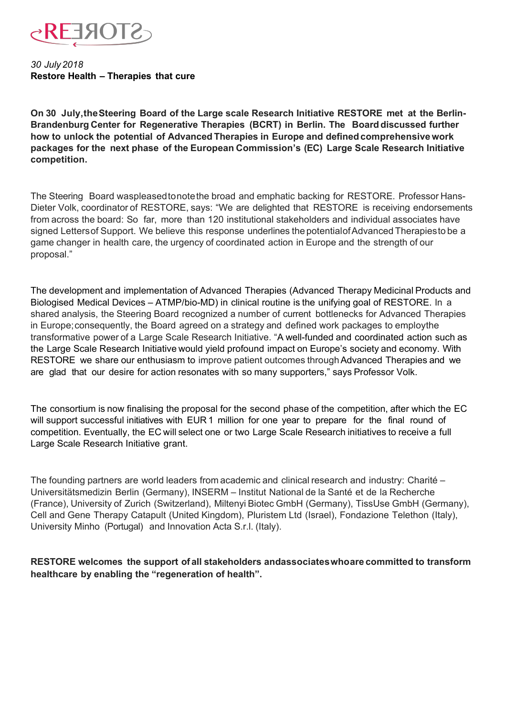

*30 July 2018* **Restore Health – Therapies that cure** 

**On 30 July,the Steering Board of the Large scale Research Initiative RESTORE met at the Berlin-Brandenburg Center for Regenerative Therapies (BCRT) in Berlin. The Board discussed further how to unlock the potential of Advanced Therapies in Europe and definedcomprehensivework packages for the next phase of the European Commission's (EC) Large Scale Research Initiative competition.** 

The Steering Board waspleased to note the broad and emphatic backing for RESTORE. Professor Hans-Dieter Volk, coordinator of RESTORE, says: "We are delighted that RESTORE is receiving endorsements from across the board: So far, more than 120 institutional stakeholders and individual associates have signed Lettersof Support. We believe this response underlines the potentialof Advanced Therapiesto be a game changer in health care, the urgency of coordinated action in Europe and the strength of our proposal."

The development and implementation of Advanced Therapies (Advanced Therapy Medicinal Products and Biologised Medical Devices – ATMP/bio-MD) in clinical routine is the unifying goal of RESTORE. In a shared analysis, the Steering Board recognized a number of current bottlenecks for Advanced Therapies in Europe;consequently, the Board agreed on a strategy and defined work packages to employthe transformative power of a Large Scale Research Initiative. "A well-funded and coordinated action such as the Large Scale Research Initiative would yield profound impact on Europe's society and economy. With RESTORE we share our enthusiasm to improve patient outcomes through Advanced Therapies and we are glad that our desire for action resonates with so many supporters," says Professor Volk.

The consortium is now finalising the proposal for the second phase of the competition, after which the EC will support successful initiatives with EUR 1 million for one year to prepare for the final round of competition. Eventually, the EC will select one or two Large Scale Research initiatives to receive a full Large Scale Research Initiative grant.

The founding partners are world leaders from academic and clinical research and industry: Charité – Universitätsmedizin Berlin (Germany), INSERM – Institut National de la Santé et de la Recherche (France), University of Zurich (Switzerland), Miltenyi Biotec GmbH (Germany), TissUse GmbH (Germany), Cell and Gene Therapy Catapult (United Kingdom), Pluristem Ltd (Israel), Fondazione Telethon (Italy), University Minho (Portugal) and Innovation Acta S.r.l. (Italy).

**RESTORE welcomes the support of all stakeholders andassociates whoare committed to transform healthcare by enabling the "regeneration of health".**